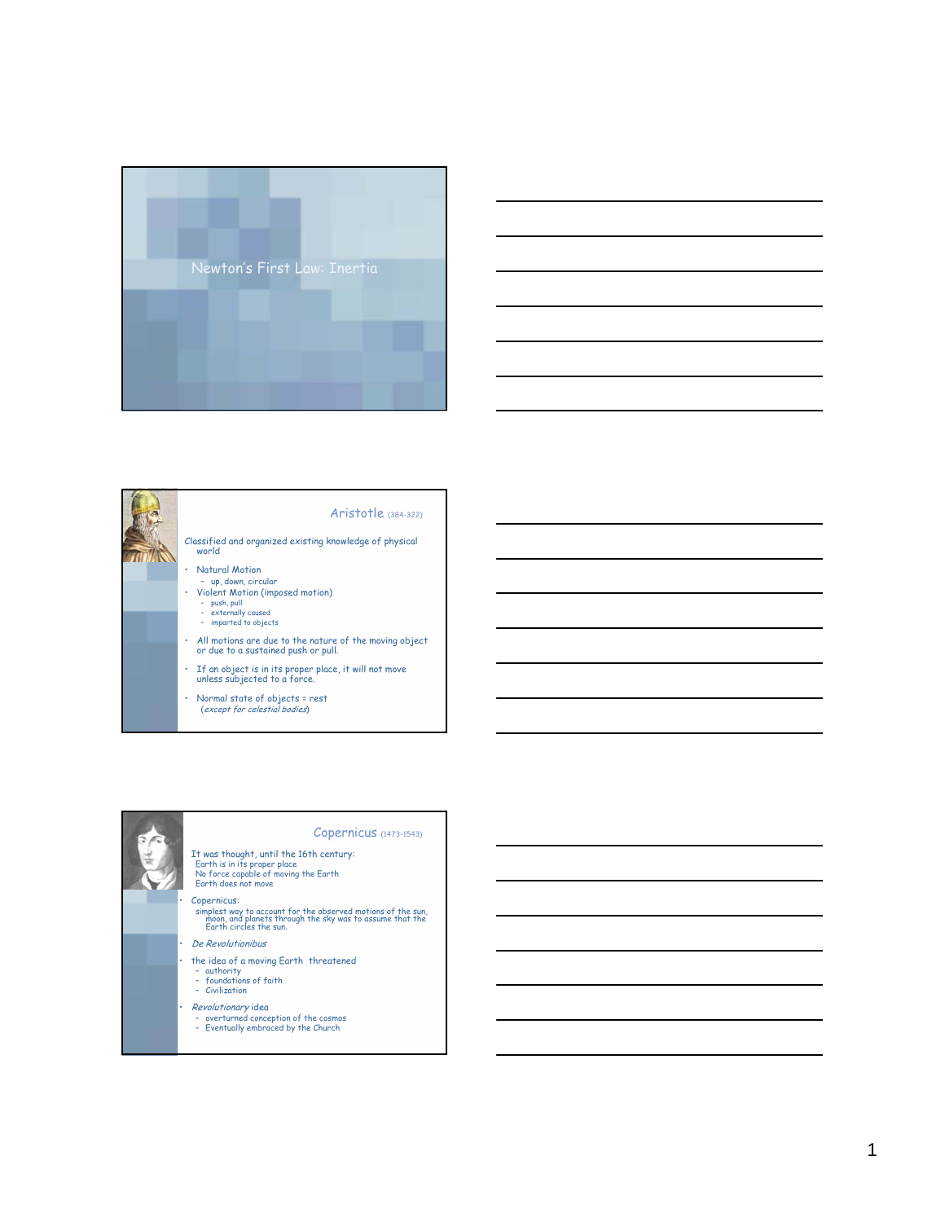







## Copernicus (1473-1543)

It was thought, until the 16th century: Earth is in its proper place No force capable of moving the Earth Earth does not move

simplest way to account for the observed motions of the sun, moon, and planets through the sky was to assume that the Earth circles the sun.

- De Revolutionibus
- the idea of a moving Earth threatened
	- authority foundations of faith
	- Civilization
- 
- Revolutionary idea overturned conception of the cosmos
	- Eventually embraced by the Church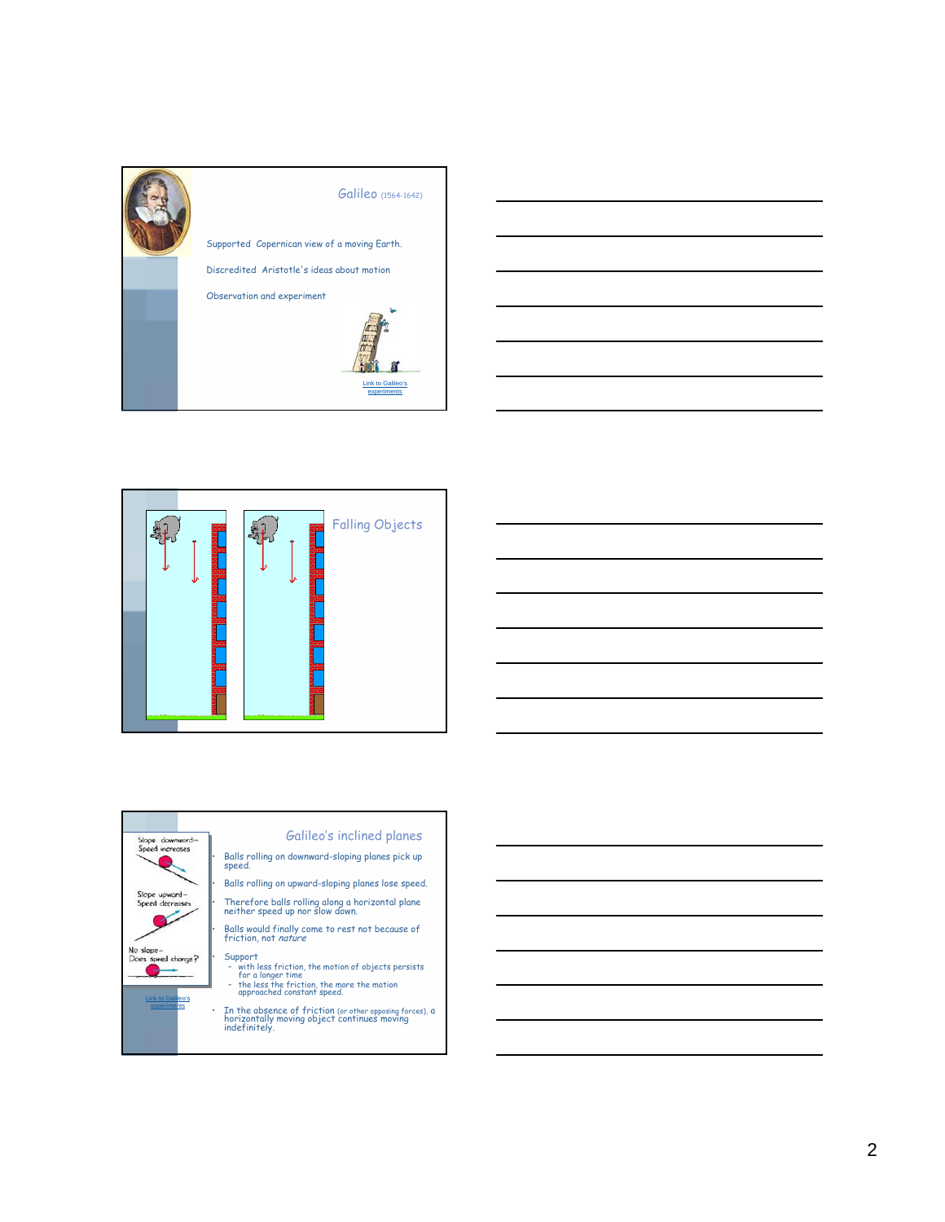









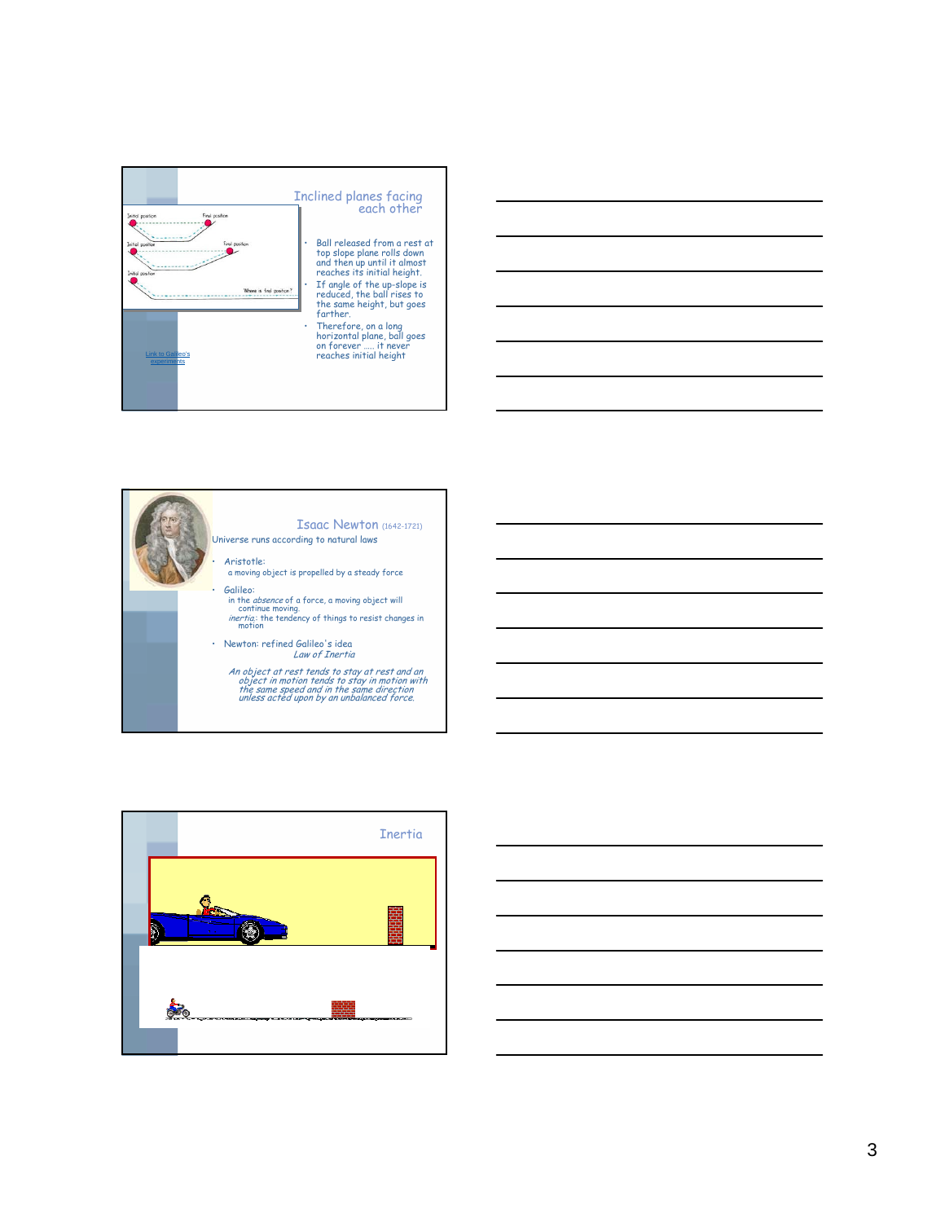







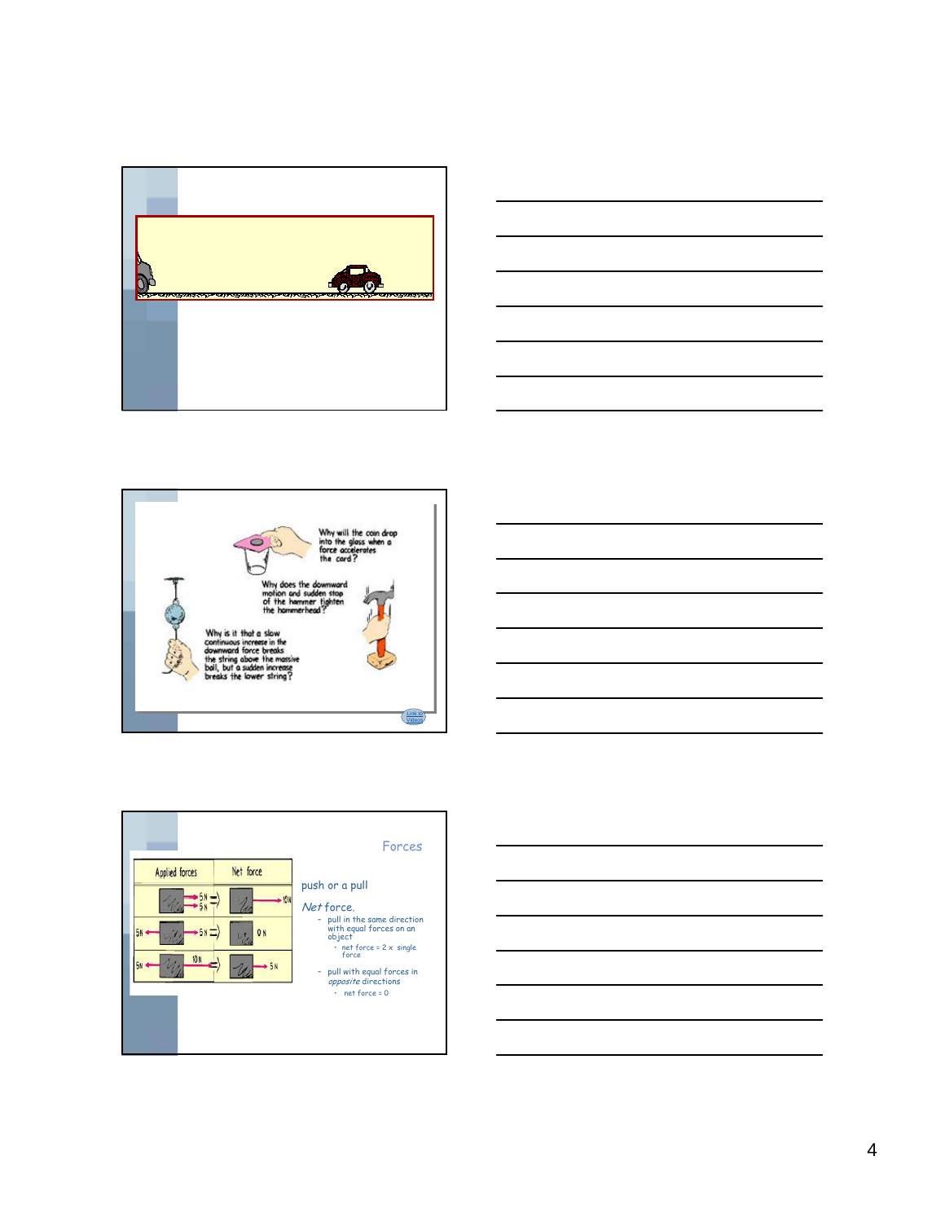